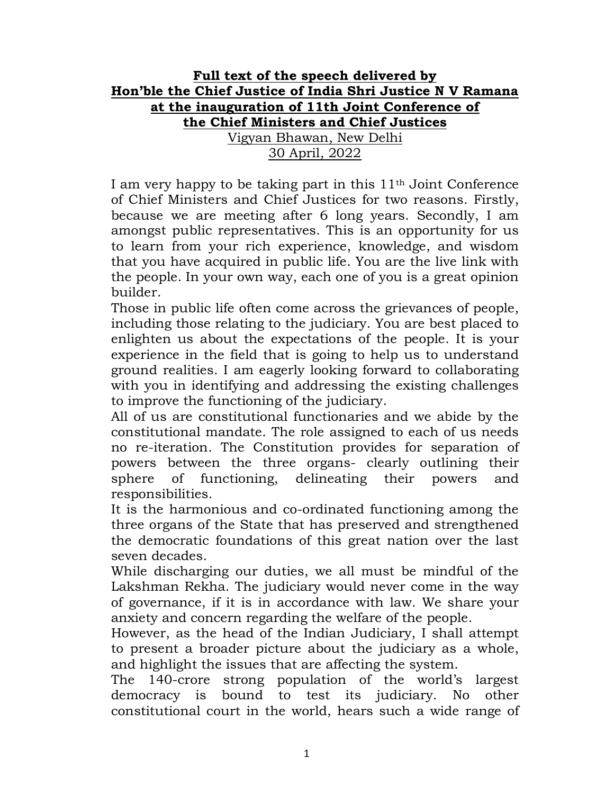## Full text of the speech delivered by Hon'ble the Chief Justice of India Shri Justice N V Ramana at the inauguration of 11th Joint Conference of the Chief Ministers and Chief Justices Vigyan Bhawan, New Delhi 30 April, 2022

I am very happy to be taking part in this  $11<sup>th</sup>$  Joint Conference of Chief Ministers and Chief Justices for two reasons. Firstly, because we are meeting after 6 long years. Secondly, I am amongst public representatives. This is an opportunity for us to learn from your rich experience, knowledge, and wisdom that you have acquired in public life. You are the live link with the people. In your own way, each one of you is a great opinion builder.

Those in public life often come across the grievances of people, including those relating to the judiciary. You are best placed to enlighten us about the expectations of the people. It is your experience in the field that is going to help us to understand ground realities. I am eagerly looking forward to collaborating with you in identifying and addressing the existing challenges to improve the functioning of the judiciary.

All of us are constitutional functionaries and we abide by the constitutional mandate. The role assigned to each of us needs no re-iteration. The Constitution provides for separation of powers between the three organs- clearly outlining their sphere of functioning, delineating their powers and responsibilities.

It is the harmonious and co-ordinated functioning among the three organs of the State that has preserved and strengthened the democratic foundations of this great nation over the last seven decades.

While discharging our duties, we all must be mindful of the Lakshman Rekha. The judiciary would never come in the way of governance, if it is in accordance with law. We share your anxiety and concern regarding the welfare of the people.

However, as the head of the Indian Judiciary, I shall attempt to present a broader picture about the judiciary as a whole, and highlight the issues that are affecting the system.

The 140-crore strong population of the world's largest democracy is bound to test its judiciary. No other constitutional court in the world, hears such a wide range of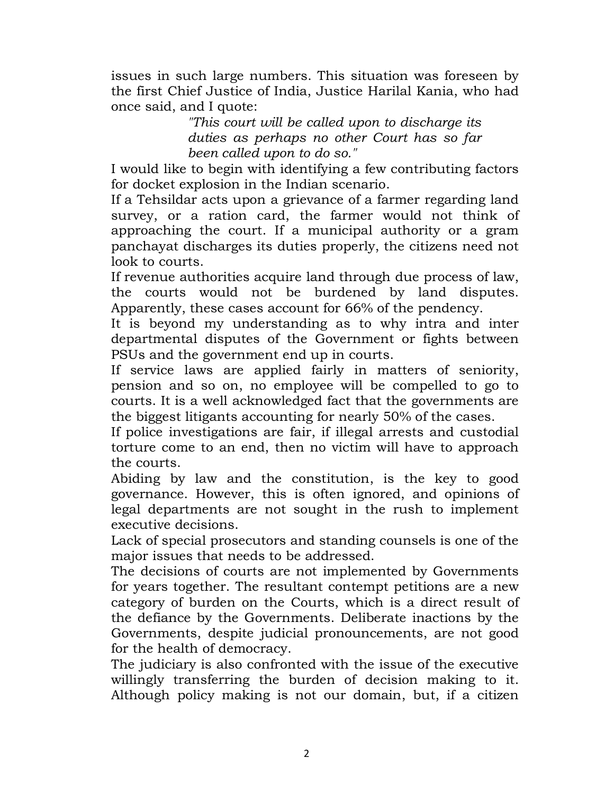issues in such large numbers. This situation was foreseen by the first Chief Justice of India, Justice Harilal Kania, who had once said, and I quote:

> "This court will be called upon to discharge its duties as perhaps no other Court has so far been called upon to do so."

I would like to begin with identifying a few contributing factors for docket explosion in the Indian scenario.

If a Tehsildar acts upon a grievance of a farmer regarding land survey, or a ration card, the farmer would not think of approaching the court. If a municipal authority or a gram panchayat discharges its duties properly, the citizens need not look to courts.

If revenue authorities acquire land through due process of law, the courts would not be burdened by land disputes. Apparently, these cases account for 66% of the pendency.

It is beyond my understanding as to why intra and inter departmental disputes of the Government or fights between PSUs and the government end up in courts.

If service laws are applied fairly in matters of seniority, pension and so on, no employee will be compelled to go to courts. It is a well acknowledged fact that the governments are the biggest litigants accounting for nearly 50% of the cases.

If police investigations are fair, if illegal arrests and custodial torture come to an end, then no victim will have to approach the courts.

Abiding by law and the constitution, is the key to good governance. However, this is often ignored, and opinions of legal departments are not sought in the rush to implement executive decisions.

Lack of special prosecutors and standing counsels is one of the major issues that needs to be addressed.

The decisions of courts are not implemented by Governments for years together. The resultant contempt petitions are a new category of burden on the Courts, which is a direct result of the defiance by the Governments. Deliberate inactions by the Governments, despite judicial pronouncements, are not good for the health of democracy.

The judiciary is also confronted with the issue of the executive willingly transferring the burden of decision making to it. Although policy making is not our domain, but, if a citizen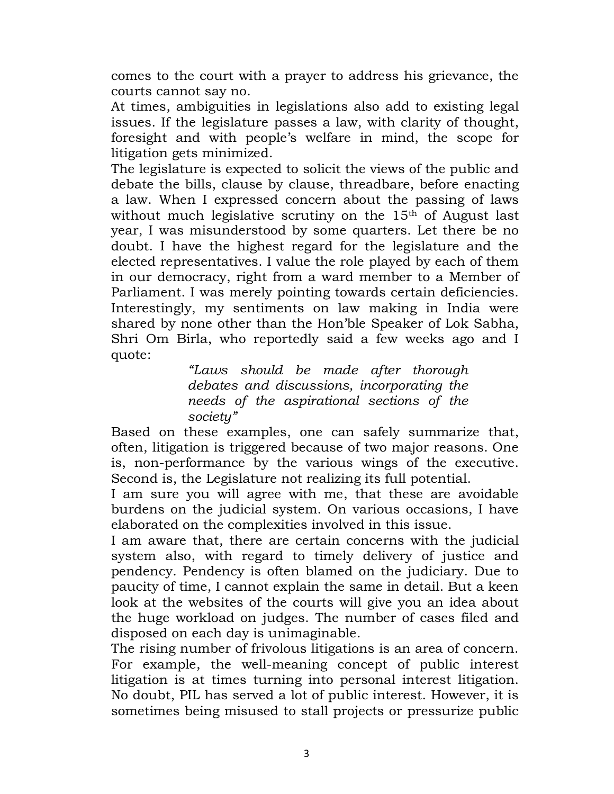comes to the court with a prayer to address his grievance, the courts cannot say no.

At times, ambiguities in legislations also add to existing legal issues. If the legislature passes a law, with clarity of thought, foresight and with people's welfare in mind, the scope for litigation gets minimized.

The legislature is expected to solicit the views of the public and debate the bills, clause by clause, threadbare, before enacting a law. When I expressed concern about the passing of laws without much legislative scrutiny on the 15<sup>th</sup> of August last year, I was misunderstood by some quarters. Let there be no doubt. I have the highest regard for the legislature and the elected representatives. I value the role played by each of them in our democracy, right from a ward member to a Member of Parliament. I was merely pointing towards certain deficiencies. Interestingly, my sentiments on law making in India were shared by none other than the Hon'ble Speaker of Lok Sabha, Shri Om Birla, who reportedly said a few weeks ago and I quote:

> "Laws should be made after thorough debates and discussions, incorporating the needs of the aspirational sections of the society"

Based on these examples, one can safely summarize that, often, litigation is triggered because of two major reasons. One is, non-performance by the various wings of the executive. Second is, the Legislature not realizing its full potential.

I am sure you will agree with me, that these are avoidable burdens on the judicial system. On various occasions, I have elaborated on the complexities involved in this issue.

I am aware that, there are certain concerns with the judicial system also, with regard to timely delivery of justice and pendency. Pendency is often blamed on the judiciary. Due to paucity of time, I cannot explain the same in detail. But a keen look at the websites of the courts will give you an idea about the huge workload on judges. The number of cases filed and disposed on each day is unimaginable.

The rising number of frivolous litigations is an area of concern. For example, the well-meaning concept of public interest litigation is at times turning into personal interest litigation. No doubt, PIL has served a lot of public interest. However, it is sometimes being misused to stall projects or pressurize public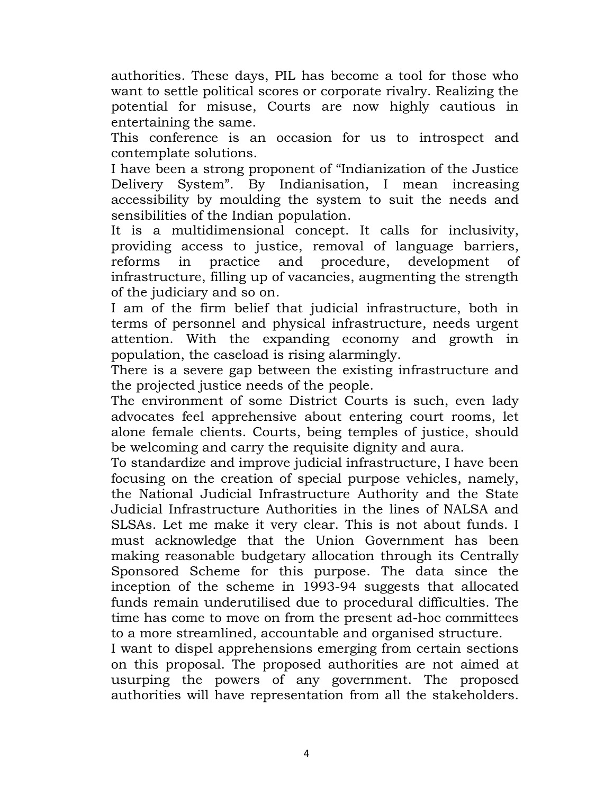authorities. These days, PIL has become a tool for those who want to settle political scores or corporate rivalry. Realizing the potential for misuse, Courts are now highly cautious in entertaining the same.

This conference is an occasion for us to introspect and contemplate solutions.

I have been a strong proponent of "Indianization of the Justice Delivery System". By Indianisation, I mean increasing accessibility by moulding the system to suit the needs and sensibilities of the Indian population.

It is a multidimensional concept. It calls for inclusivity, providing access to justice, removal of language barriers, reforms in practice and procedure, development of infrastructure, filling up of vacancies, augmenting the strength of the judiciary and so on.

I am of the firm belief that judicial infrastructure, both in terms of personnel and physical infrastructure, needs urgent attention. With the expanding economy and growth in population, the caseload is rising alarmingly.

There is a severe gap between the existing infrastructure and the projected justice needs of the people.

The environment of some District Courts is such, even lady advocates feel apprehensive about entering court rooms, let alone female clients. Courts, being temples of justice, should be welcoming and carry the requisite dignity and aura.

To standardize and improve judicial infrastructure, I have been focusing on the creation of special purpose vehicles, namely, the National Judicial Infrastructure Authority and the State Judicial Infrastructure Authorities in the lines of NALSA and SLSAs. Let me make it very clear. This is not about funds. I must acknowledge that the Union Government has been making reasonable budgetary allocation through its Centrally Sponsored Scheme for this purpose. The data since the inception of the scheme in 1993-94 suggests that allocated funds remain underutilised due to procedural difficulties. The time has come to move on from the present ad-hoc committees to a more streamlined, accountable and organised structure.

I want to dispel apprehensions emerging from certain sections on this proposal. The proposed authorities are not aimed at usurping the powers of any government. The proposed authorities will have representation from all the stakeholders.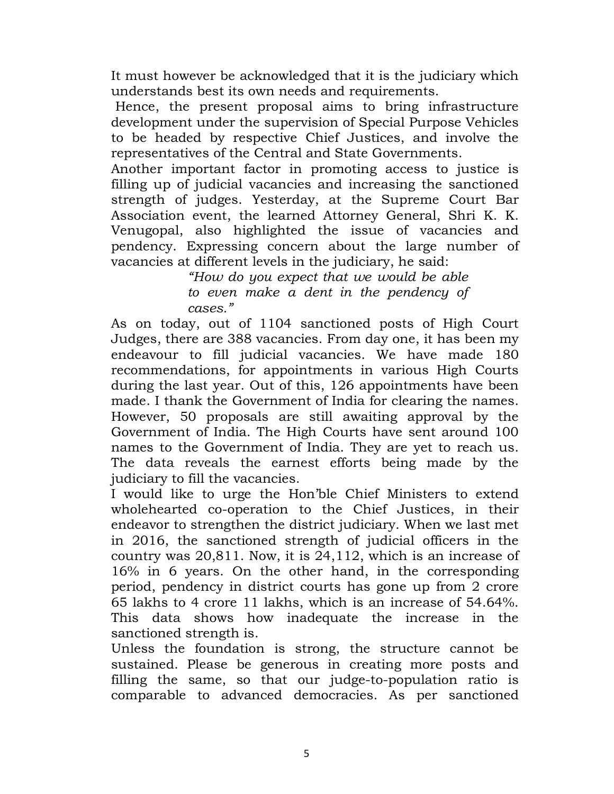It must however be acknowledged that it is the judiciary which understands best its own needs and requirements.

 Hence, the present proposal aims to bring infrastructure development under the supervision of Special Purpose Vehicles to be headed by respective Chief Justices, and involve the representatives of the Central and State Governments.

Another important factor in promoting access to justice is filling up of judicial vacancies and increasing the sanctioned strength of judges. Yesterday, at the Supreme Court Bar Association event, the learned Attorney General, Shri K. K. Venugopal, also highlighted the issue of vacancies and pendency. Expressing concern about the large number of vacancies at different levels in the judiciary, he said:

"How do you expect that we would be able to even make a dent in the pendency of cases."

As on today, out of 1104 sanctioned posts of High Court Judges, there are 388 vacancies. From day one, it has been my endeavour to fill judicial vacancies. We have made 180 recommendations, for appointments in various High Courts during the last year. Out of this, 126 appointments have been made. I thank the Government of India for clearing the names. However, 50 proposals are still awaiting approval by the Government of India. The High Courts have sent around 100 names to the Government of India. They are yet to reach us. The data reveals the earnest efforts being made by the judiciary to fill the vacancies.

I would like to urge the Hon'ble Chief Ministers to extend wholehearted co-operation to the Chief Justices, in their endeavor to strengthen the district judiciary. When we last met in 2016, the sanctioned strength of judicial officers in the country was 20,811. Now, it is 24,112, which is an increase of 16% in 6 years. On the other hand, in the corresponding period, pendency in district courts has gone up from 2 crore 65 lakhs to 4 crore 11 lakhs, which is an increase of 54.64%. This data shows how inadequate the increase in the sanctioned strength is.

Unless the foundation is strong, the structure cannot be sustained. Please be generous in creating more posts and filling the same, so that our judge-to-population ratio is comparable to advanced democracies. As per sanctioned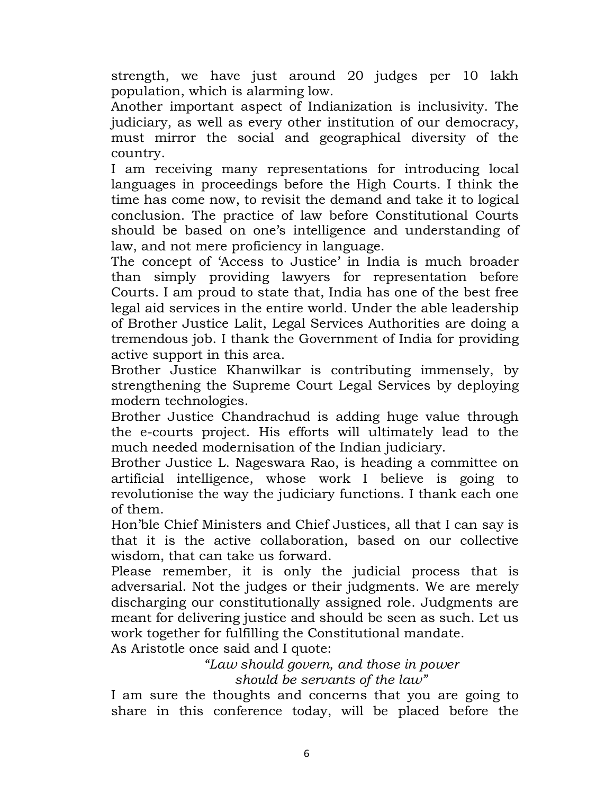strength, we have just around 20 judges per 10 lakh population, which is alarming low.

Another important aspect of Indianization is inclusivity. The judiciary, as well as every other institution of our democracy, must mirror the social and geographical diversity of the country.

I am receiving many representations for introducing local languages in proceedings before the High Courts. I think the time has come now, to revisit the demand and take it to logical conclusion. The practice of law before Constitutional Courts should be based on one's intelligence and understanding of law, and not mere proficiency in language.

The concept of 'Access to Justice' in India is much broader than simply providing lawyers for representation before Courts. I am proud to state that, India has one of the best free legal aid services in the entire world. Under the able leadership of Brother Justice Lalit, Legal Services Authorities are doing a tremendous job. I thank the Government of India for providing active support in this area.

Brother Justice Khanwilkar is contributing immensely, by strengthening the Supreme Court Legal Services by deploying modern technologies.

Brother Justice Chandrachud is adding huge value through the e-courts project. His efforts will ultimately lead to the much needed modernisation of the Indian judiciary.

Brother Justice L. Nageswara Rao, is heading a committee on artificial intelligence, whose work I believe is going to revolutionise the way the judiciary functions. I thank each one of them.

Hon'ble Chief Ministers and Chief Justices, all that I can say is that it is the active collaboration, based on our collective wisdom, that can take us forward.

Please remember, it is only the judicial process that is adversarial. Not the judges or their judgments. We are merely discharging our constitutionally assigned role. Judgments are meant for delivering justice and should be seen as such. Let us work together for fulfilling the Constitutional mandate.

As Aristotle once said and I quote:

"Law should govern, and those in power should be servants of the law"

I am sure the thoughts and concerns that you are going to share in this conference today, will be placed before the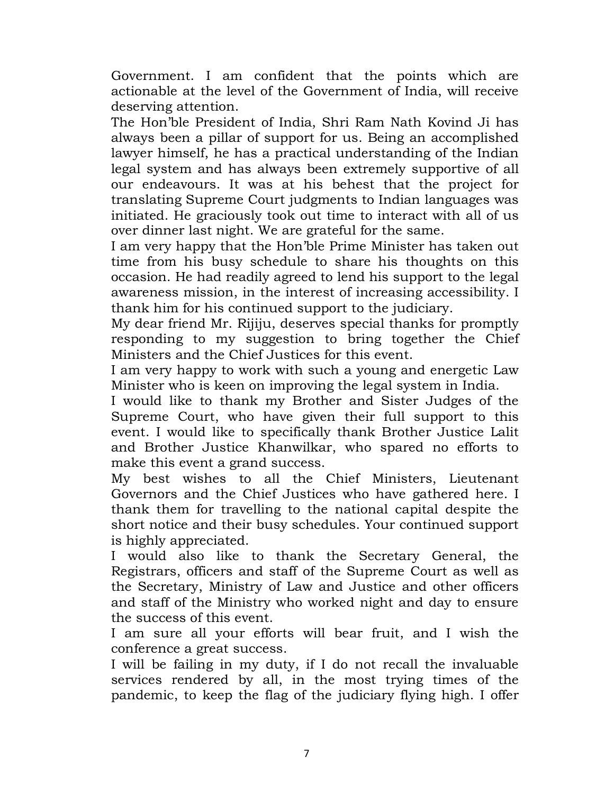Government. I am confident that the points which are actionable at the level of the Government of India, will receive deserving attention.

The Hon'ble President of India, Shri Ram Nath Kovind Ji has always been a pillar of support for us. Being an accomplished lawyer himself, he has a practical understanding of the Indian legal system and has always been extremely supportive of all our endeavours. It was at his behest that the project for translating Supreme Court judgments to Indian languages was initiated. He graciously took out time to interact with all of us over dinner last night. We are grateful for the same.

I am very happy that the Hon'ble Prime Minister has taken out time from his busy schedule to share his thoughts on this occasion. He had readily agreed to lend his support to the legal awareness mission, in the interest of increasing accessibility. I thank him for his continued support to the judiciary.

My dear friend Mr. Rijiju, deserves special thanks for promptly responding to my suggestion to bring together the Chief Ministers and the Chief Justices for this event.

I am very happy to work with such a young and energetic Law Minister who is keen on improving the legal system in India.

I would like to thank my Brother and Sister Judges of the Supreme Court, who have given their full support to this event. I would like to specifically thank Brother Justice Lalit and Brother Justice Khanwilkar, who spared no efforts to make this event a grand success.

My best wishes to all the Chief Ministers, Lieutenant Governors and the Chief Justices who have gathered here. I thank them for travelling to the national capital despite the short notice and their busy schedules. Your continued support is highly appreciated.

I would also like to thank the Secretary General, the Registrars, officers and staff of the Supreme Court as well as the Secretary, Ministry of Law and Justice and other officers and staff of the Ministry who worked night and day to ensure the success of this event.

I am sure all your efforts will bear fruit, and I wish the conference a great success.

I will be failing in my duty, if I do not recall the invaluable services rendered by all, in the most trying times of the pandemic, to keep the flag of the judiciary flying high. I offer